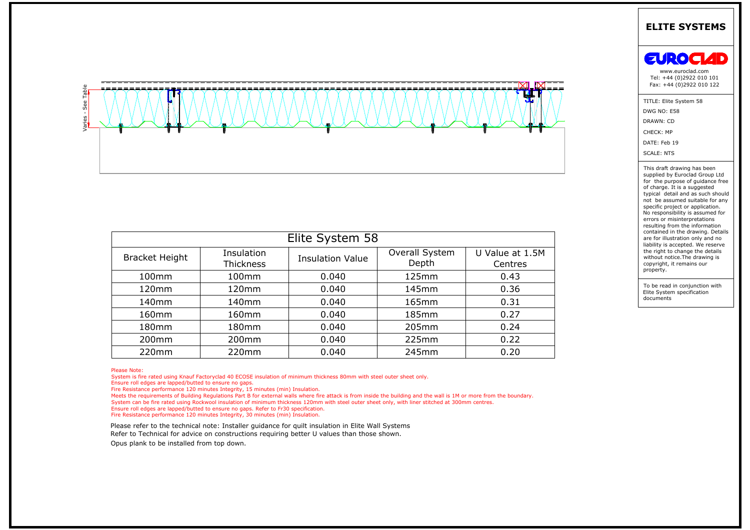

|                       |                         |                                            |                         |                            | <b>ELITE SYSTEMS</b>                                                                                                                                                                                                                                                                                              |
|-----------------------|-------------------------|--------------------------------------------|-------------------------|----------------------------|-------------------------------------------------------------------------------------------------------------------------------------------------------------------------------------------------------------------------------------------------------------------------------------------------------------------|
|                       |                         |                                            |                         |                            | <b>EUROCLAD</b><br>www.euroclad.com<br>Tel: +44 (0)2922 010 101<br>Fax: +44 (0)2922 010 122<br>TITLE: Elite System 58<br><b>DWG NO: E58</b><br>DRAWN: CD<br>CHECK: MP<br>DATE: Feb 19<br><b>SCALE: NTS</b>                                                                                                        |
|                       |                         |                                            |                         |                            | This draft drawing has been<br>supplied by Euroclad Group Ltd<br>for the purpose of guidance free<br>of charge. It is a suggested<br>typical detail and as such should<br>not be assumed suitable for any<br>specific project or application.<br>No responsibility is assumed for<br>errors or misinterpretations |
|                       |                         |                                            |                         |                            | resulting from the information<br>contained in the drawing. Details                                                                                                                                                                                                                                               |
| <b>Bracket Height</b> | Insulation<br>Thickness | Elite System 58<br><b>Insulation Value</b> | Overall System<br>Depth | U Value at 1.5M<br>Centres | are for illustration only and no<br>liability is accepted. We reserve<br>the right to change the details<br>without notice. The drawing is<br>copyright, it remains our                                                                                                                                           |
| 100mm                 | 100mm                   | 0.040                                      | 125mm                   | 0.43                       | property.                                                                                                                                                                                                                                                                                                         |
| 120mm                 | 120mm                   | 0.040                                      | 145mm                   | 0.36                       | To be read in conjunction with<br>Elite System specification                                                                                                                                                                                                                                                      |
| 140mm                 | 140mm                   | 0.040                                      | 165mm                   | 0.31                       | documents                                                                                                                                                                                                                                                                                                         |
| 160mm                 | 160mm                   | 0.040                                      | 185mm                   | 0.27                       |                                                                                                                                                                                                                                                                                                                   |
| 180mm                 | 180mm                   | 0.040                                      | 205mm                   | 0.24                       |                                                                                                                                                                                                                                                                                                                   |
| 200mm                 | 200mm                   | 0.040                                      | 225mm                   | 0.22                       |                                                                                                                                                                                                                                                                                                                   |

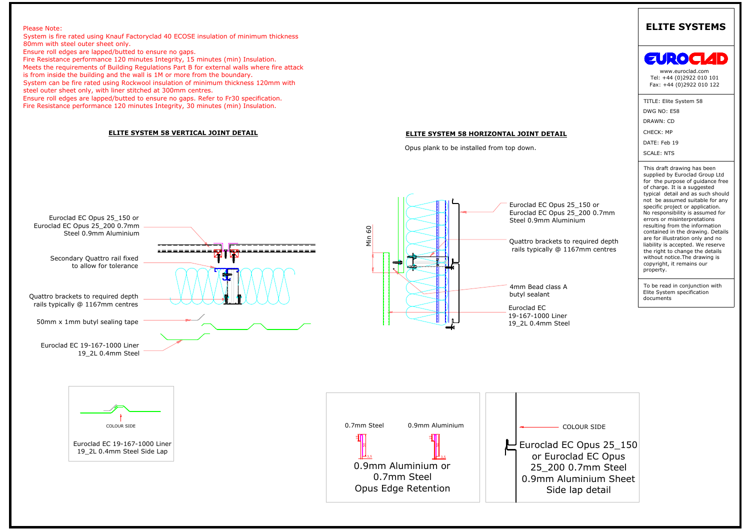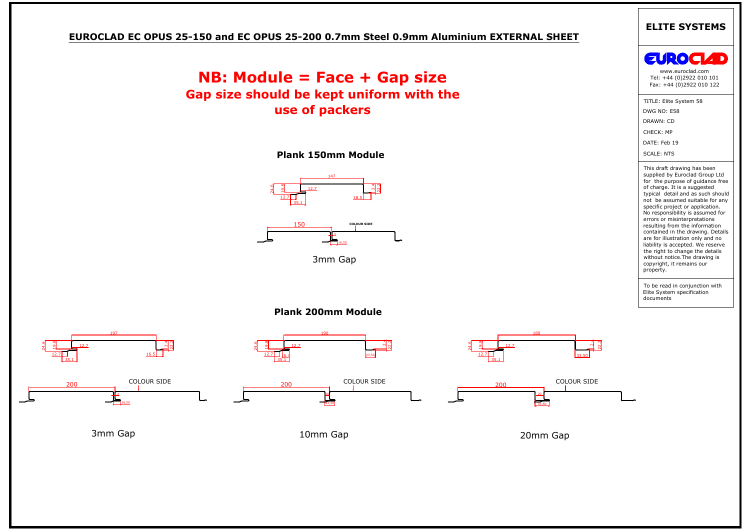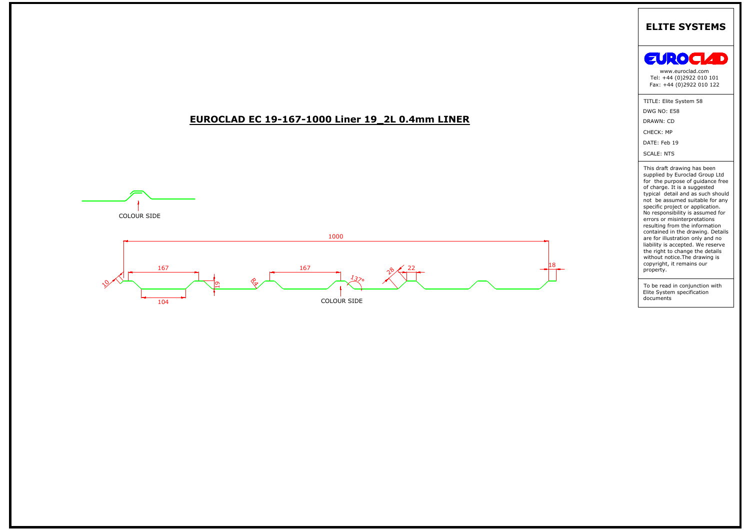



# are for illustration only and no<br>liability is accepted. We reserve<br>the right to change the details<br>without notice.<br>The drawing is<br>copyright, it remains our<br>property.<br>To be read in conjunction with<br>Elite System specificatio EUROCLAD EC 19-167-1000 Liner 19 2L 0.4mm LINER<br>
EUROCLAD EC 19-167-1000 Liner 19 2L 0.4mm LINER<br>
THE GRESSION COMPRETED FOR CHANGE COMPRETED FOR CHANGE CONTROL COMPRETED FOR CHANGE COMPRETED FOR CHANGE COMPRETED FOR CHAN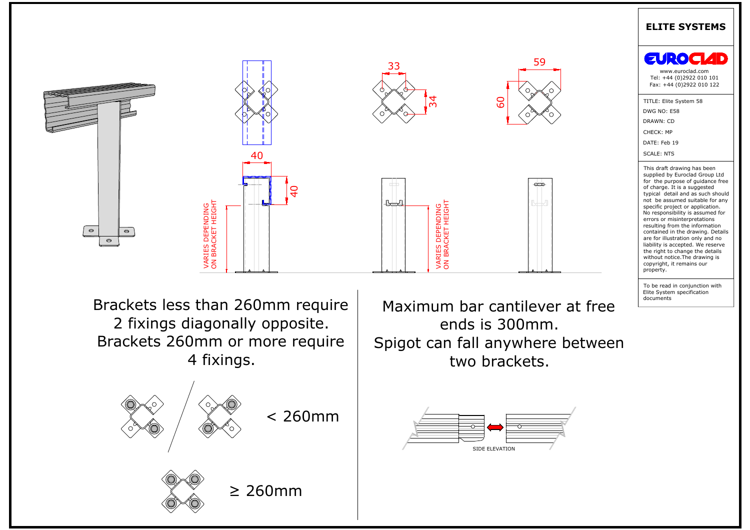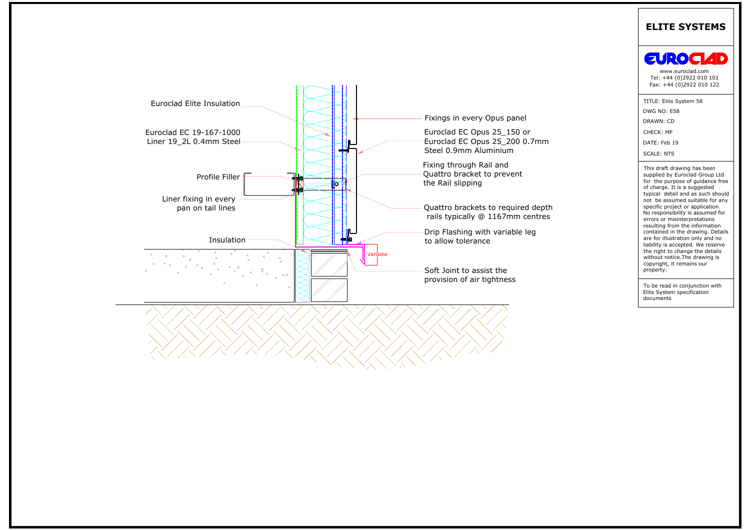



are for illustration only and no<br>liability is accepted. We reserve<br>the right to change the details<br>without notice.<br>The drawing is<br>copyright, it remains our<br>property.<br>To be read in conjunction with<br>Elite System specificatio **ELITE SYSTEMS**<br>
www.euroclad.com<br>
Tel: +44 (0)2922 010 101<br>
TITLE: Elite System 58<br>
DWG NO: E58<br>
DWG NO: E58<br>
DRAWN: CD<br>
CHECK: MP<br>
DATE: Feb 19<br>
SCALE: NTS<br>
This draft drawing has been<br>
scale: NTS<br>
This draft drawing has

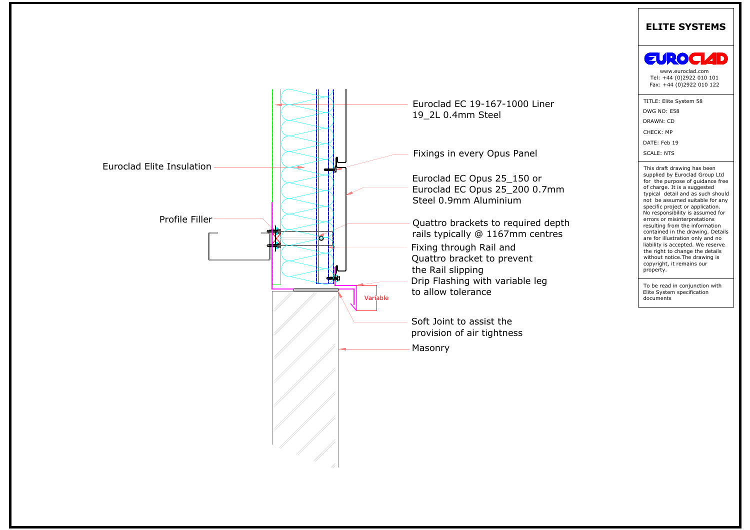

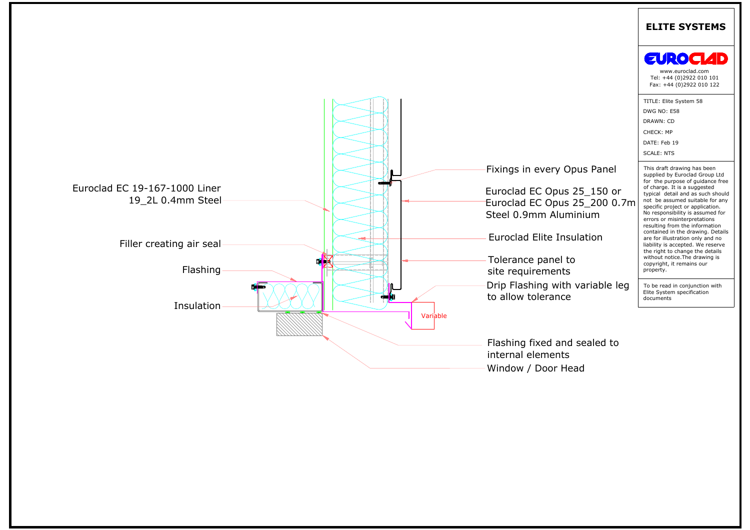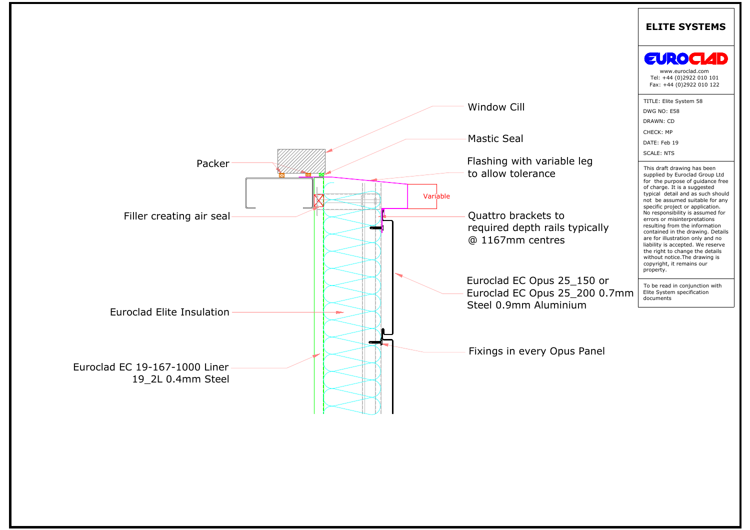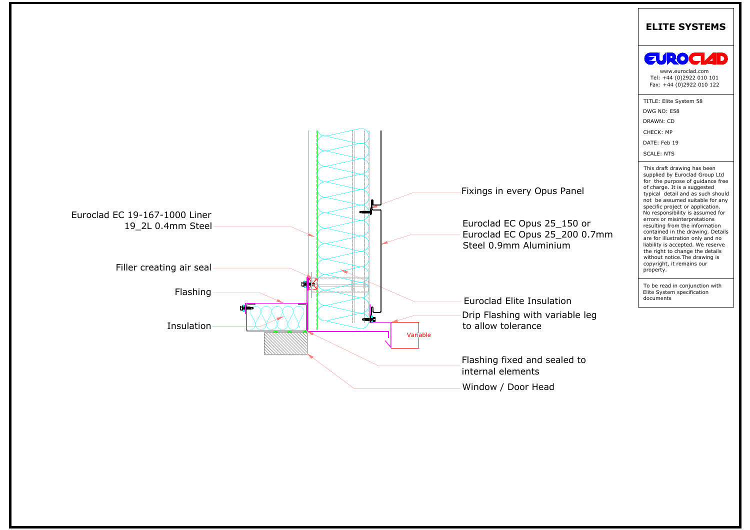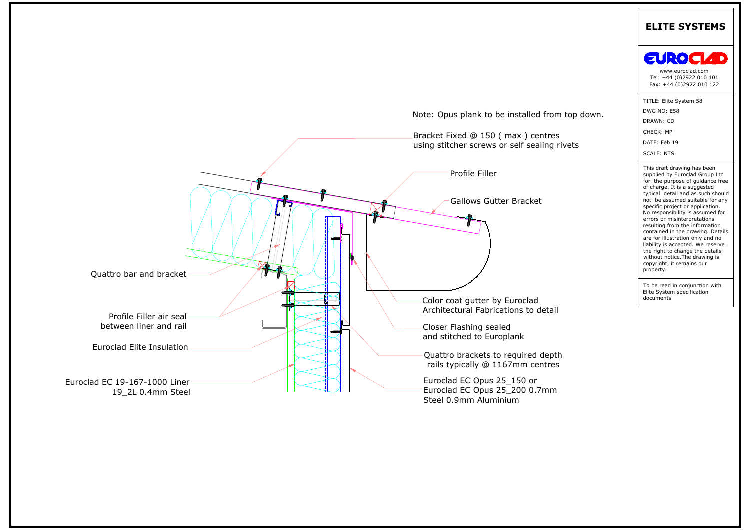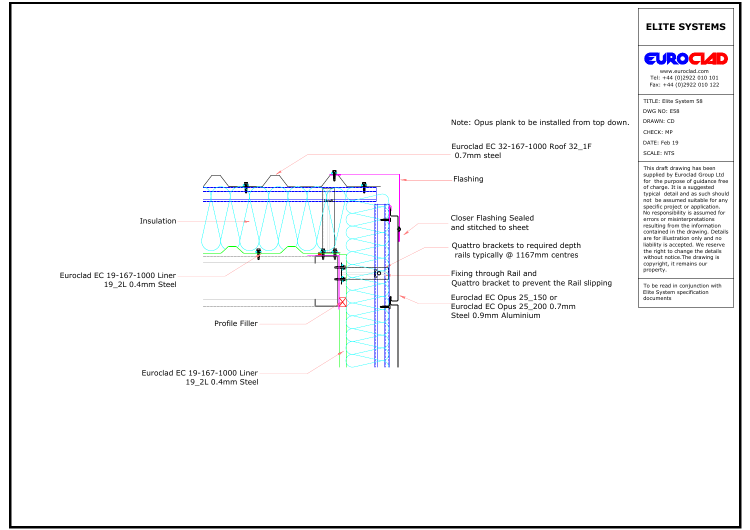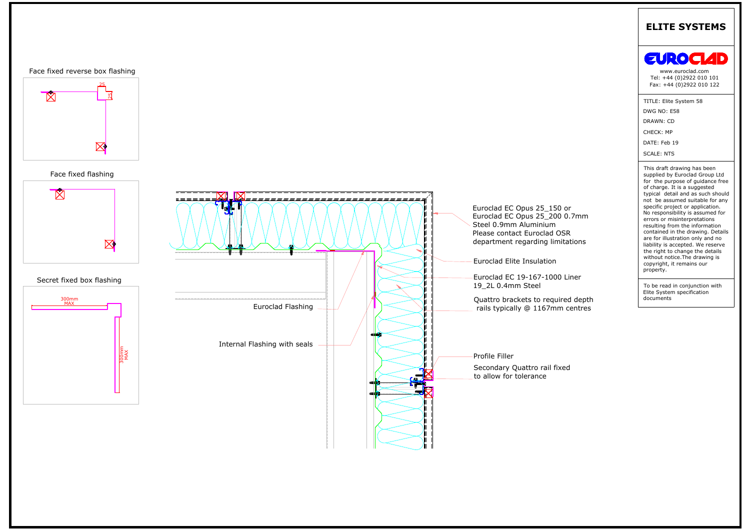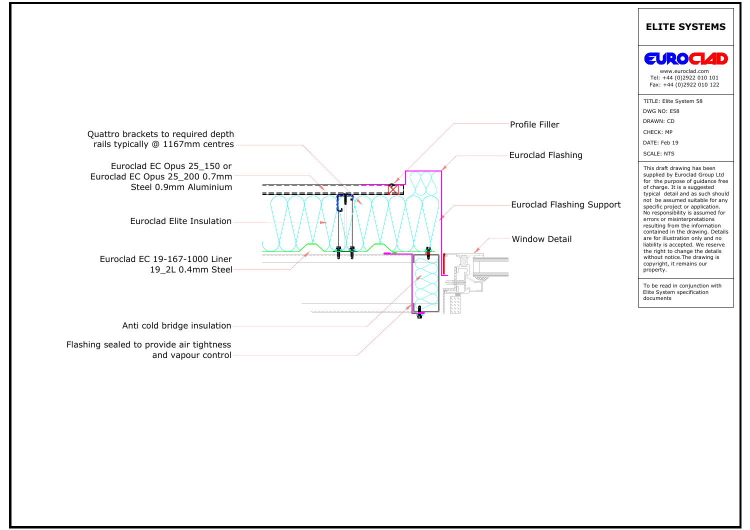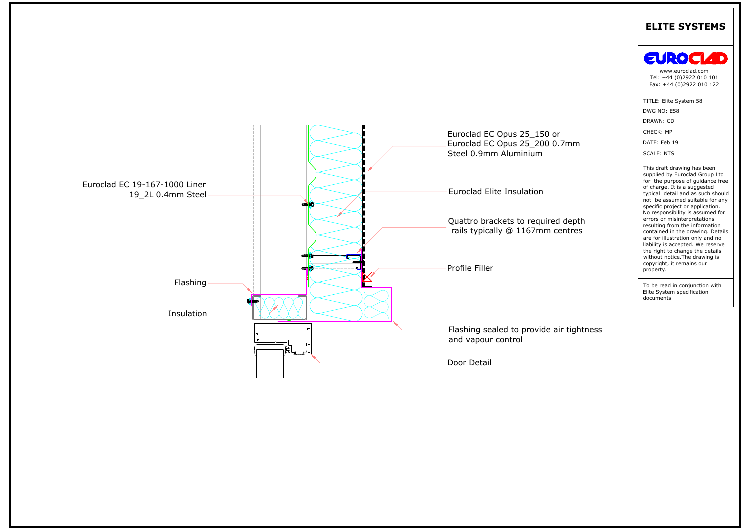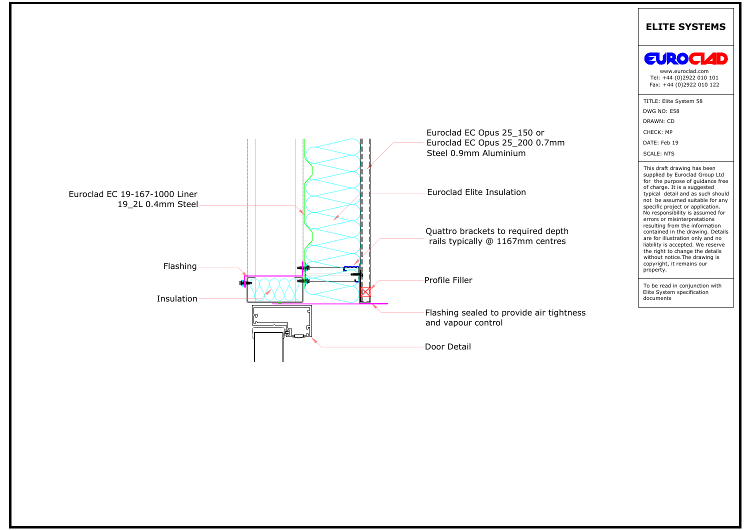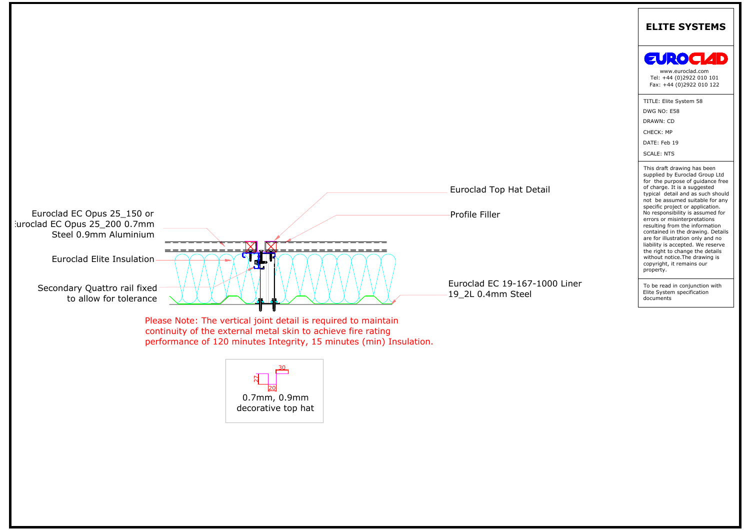